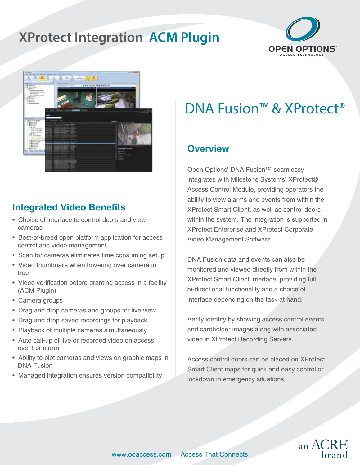## **XProtect Integration ACM Plugin**





### **Integrated Video Benefits**

- Choice of interface to control doors and view cameras
- Best-of-breed open platform application for access control and video management
- Scan for cameras eliminates time consuming setup
- Video thumbnails when hovering over camera in tree
- Video verification before granting access in a facility (ACM Plugin)
- Camera groups
- Drag and drop cameras and groups for live view
- Drag and drop saved recordings for playback
- Playback of multiple cameras simultaneously
- Auto call-up of live or recorded video on access event or alarm
- Ability to plot cameras and views on graphic maps in DNA Fusion
- Managed integration ensures version compatibility

# DNA Fusion™ & XProtect<sup>®</sup>

### **Overview**

Open Options' DNA Fusion™ seamlessy integrates with Milestone Systems' XProtect® Access Control Module, providing operators the ability to view alarms and events from within the XProtect Smart Client, as well as control doors within the system. The integration is supported in XProtect Enterprise and XProtect Corporate Video Management Software.

DNA Fusion data and events can also be monitored and viewed directly from within the XProtect Smart Client interface, providing full bi-directional functionality and a choice of interface depending on the task at hand.

Verify identity by showing access control events and cardholder images along with associated video in XProtect Recording Servers.

Access control doors can be placed on XProtect Smart Client maps for quick and easy control or lockdown in emergency situations.